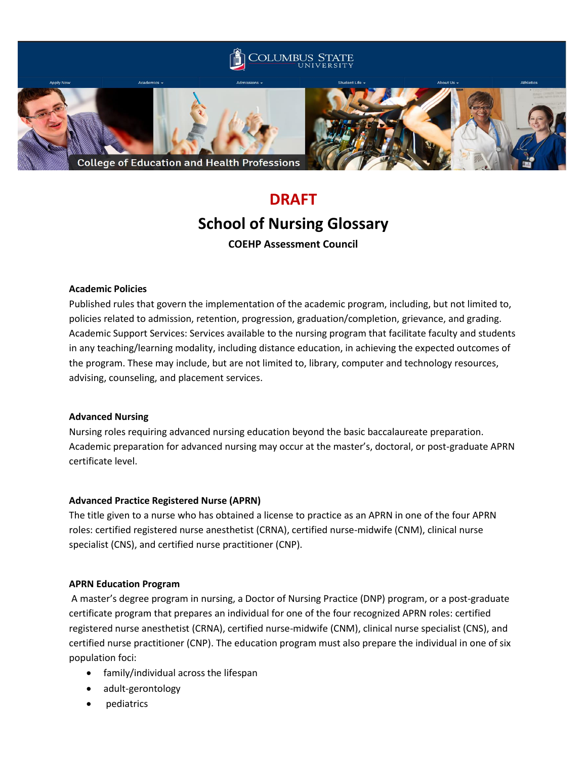

# **DRAFT School of Nursing Glossary COEHP Assessment Council**

## **Academic Policies**

Published rules that govern the implementation of the academic program, including, but not limited to, policies related to admission, retention, progression, graduation/completion, grievance, and grading. Academic Support Services: Services available to the nursing program that facilitate faculty and students in any teaching/learning modality, including distance education, in achieving the expected outcomes of the program. These may include, but are not limited to, library, computer and technology resources, advising, counseling, and placement services.

## **Advanced Nursing**

Nursing roles requiring advanced nursing education beyond the basic baccalaureate preparation. Academic preparation for advanced nursing may occur at the master's, doctoral, or post-graduate APRN certificate level.

# **Advanced Practice Registered Nurse (APRN)**

The title given to a nurse who has obtained a license to practice as an APRN in one of the four APRN roles: certified registered nurse anesthetist (CRNA), certified nurse-midwife (CNM), clinical nurse specialist (CNS), and certified nurse practitioner (CNP).

## **APRN Education Program**

A master's degree program in nursing, a Doctor of Nursing Practice (DNP) program, or a post-graduate certificate program that prepares an individual for one of the four recognized APRN roles: certified registered nurse anesthetist (CRNA), certified nurse-midwife (CNM), clinical nurse specialist (CNS), and certified nurse practitioner (CNP). The education program must also prepare the individual in one of six population foci:

- family/individual across the lifespan
- adult-gerontology
- pediatrics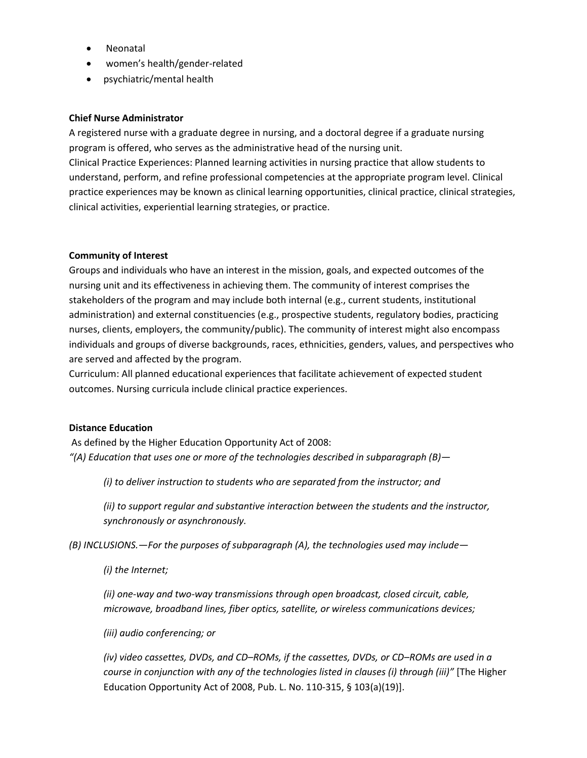- Neonatal
- women's health/gender-related
- psychiatric/mental health

## **Chief Nurse Administrator**

A registered nurse with a graduate degree in nursing, and a doctoral degree if a graduate nursing program is offered, who serves as the administrative head of the nursing unit.

Clinical Practice Experiences: Planned learning activities in nursing practice that allow students to understand, perform, and refine professional competencies at the appropriate program level. Clinical practice experiences may be known as clinical learning opportunities, clinical practice, clinical strategies, clinical activities, experiential learning strategies, or practice.

## **Community of Interest**

Groups and individuals who have an interest in the mission, goals, and expected outcomes of the nursing unit and its effectiveness in achieving them. The community of interest comprises the stakeholders of the program and may include both internal (e.g., current students, institutional administration) and external constituencies (e.g., prospective students, regulatory bodies, practicing nurses, clients, employers, the community/public). The community of interest might also encompass individuals and groups of diverse backgrounds, races, ethnicities, genders, values, and perspectives who are served and affected by the program.

Curriculum: All planned educational experiences that facilitate achievement of expected student outcomes. Nursing curricula include clinical practice experiences.

## **Distance Education**

As defined by the Higher Education Opportunity Act of 2008: *"(A) Education that uses one or more of the technologies described in subparagraph (B)—*

*(i) to deliver instruction to students who are separated from the instructor; and*

*(ii) to support regular and substantive interaction between the students and the instructor, synchronously or asynchronously.*

*(B) INCLUSIONS.—For the purposes of subparagraph (A), the technologies used may include—*

*(i) the Internet;*

*(ii) one-way and two-way transmissions through open broadcast, closed circuit, cable, microwave, broadband lines, fiber optics, satellite, or wireless communications devices;*

## *(iii) audio conferencing; or*

*(iv) video cassettes, DVDs, and CD–ROMs, if the cassettes, DVDs, or CD–ROMs are used in a course in conjunction with any of the technologies listed in clauses (i) through (iii)"* [The Higher Education Opportunity Act of 2008, Pub. L. No. 110-315, § 103(a)(19)].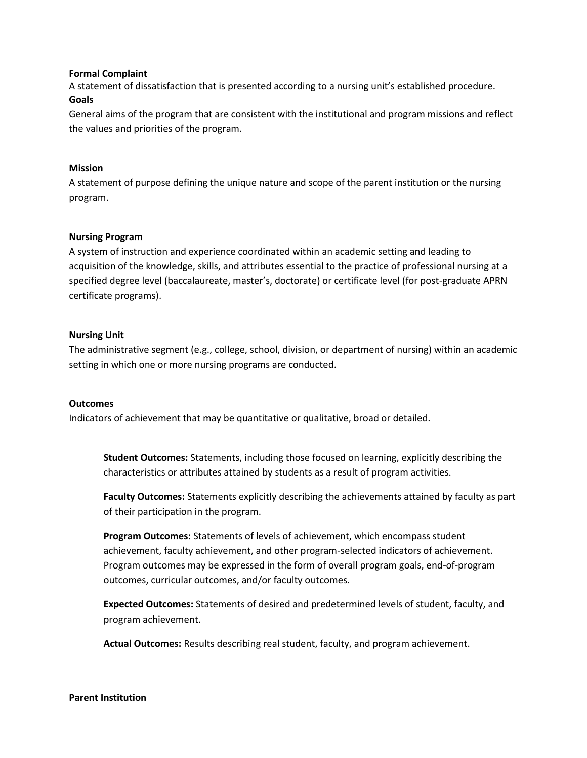#### **Formal Complaint**

A statement of dissatisfaction that is presented according to a nursing unit's established procedure. **Goals**

General aims of the program that are consistent with the institutional and program missions and reflect the values and priorities of the program.

#### **Mission**

A statement of purpose defining the unique nature and scope of the parent institution or the nursing program.

#### **Nursing Program**

A system of instruction and experience coordinated within an academic setting and leading to acquisition of the knowledge, skills, and attributes essential to the practice of professional nursing at a specified degree level (baccalaureate, master's, doctorate) or certificate level (for post-graduate APRN certificate programs).

#### **Nursing Unit**

The administrative segment (e.g., college, school, division, or department of nursing) within an academic setting in which one or more nursing programs are conducted.

#### **Outcomes**

Indicators of achievement that may be quantitative or qualitative, broad or detailed.

**Student Outcomes:** Statements, including those focused on learning, explicitly describing the characteristics or attributes attained by students as a result of program activities.

**Faculty Outcomes:** Statements explicitly describing the achievements attained by faculty as part of their participation in the program.

**Program Outcomes:** Statements of levels of achievement, which encompass student achievement, faculty achievement, and other program-selected indicators of achievement. Program outcomes may be expressed in the form of overall program goals, end-of-program outcomes, curricular outcomes, and/or faculty outcomes.

**Expected Outcomes:** Statements of desired and predetermined levels of student, faculty, and program achievement.

**Actual Outcomes:** Results describing real student, faculty, and program achievement.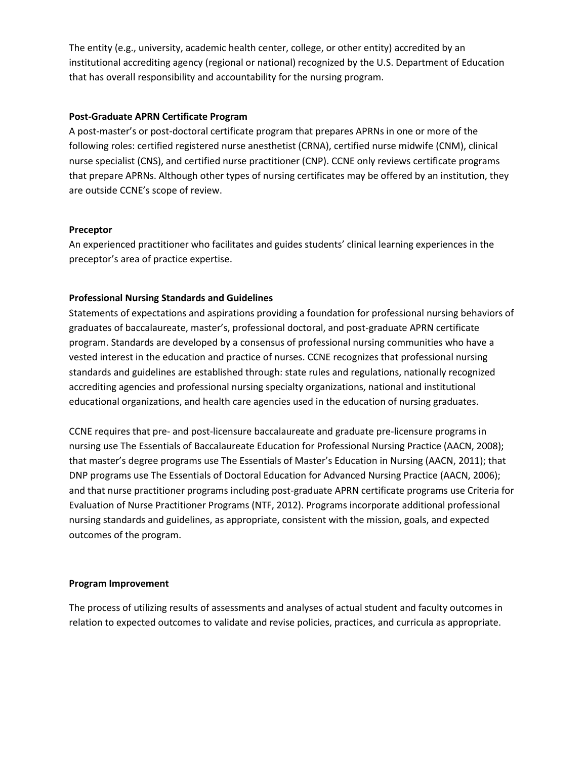The entity (e.g., university, academic health center, college, or other entity) accredited by an institutional accrediting agency (regional or national) recognized by the U.S. Department of Education that has overall responsibility and accountability for the nursing program.

## **Post-Graduate APRN Certificate Program**

A post-master's or post-doctoral certificate program that prepares APRNs in one or more of the following roles: certified registered nurse anesthetist (CRNA), certified nurse midwife (CNM), clinical nurse specialist (CNS), and certified nurse practitioner (CNP). CCNE only reviews certificate programs that prepare APRNs. Although other types of nursing certificates may be offered by an institution, they are outside CCNE's scope of review.

# **Preceptor**

An experienced practitioner who facilitates and guides students' clinical learning experiences in the preceptor's area of practice expertise.

# **Professional Nursing Standards and Guidelines**

Statements of expectations and aspirations providing a foundation for professional nursing behaviors of graduates of baccalaureate, master's, professional doctoral, and post-graduate APRN certificate program. Standards are developed by a consensus of professional nursing communities who have a vested interest in the education and practice of nurses. CCNE recognizes that professional nursing standards and guidelines are established through: state rules and regulations, nationally recognized accrediting agencies and professional nursing specialty organizations, national and institutional educational organizations, and health care agencies used in the education of nursing graduates.

CCNE requires that pre- and post-licensure baccalaureate and graduate pre-licensure programs in nursing use The Essentials of Baccalaureate Education for Professional Nursing Practice (AACN, 2008); that master's degree programs use The Essentials of Master's Education in Nursing (AACN, 2011); that DNP programs use The Essentials of Doctoral Education for Advanced Nursing Practice (AACN, 2006); and that nurse practitioner programs including post-graduate APRN certificate programs use Criteria for Evaluation of Nurse Practitioner Programs (NTF, 2012). Programs incorporate additional professional nursing standards and guidelines, as appropriate, consistent with the mission, goals, and expected outcomes of the program.

## **Program Improvement**

The process of utilizing results of assessments and analyses of actual student and faculty outcomes in relation to expected outcomes to validate and revise policies, practices, and curricula as appropriate.